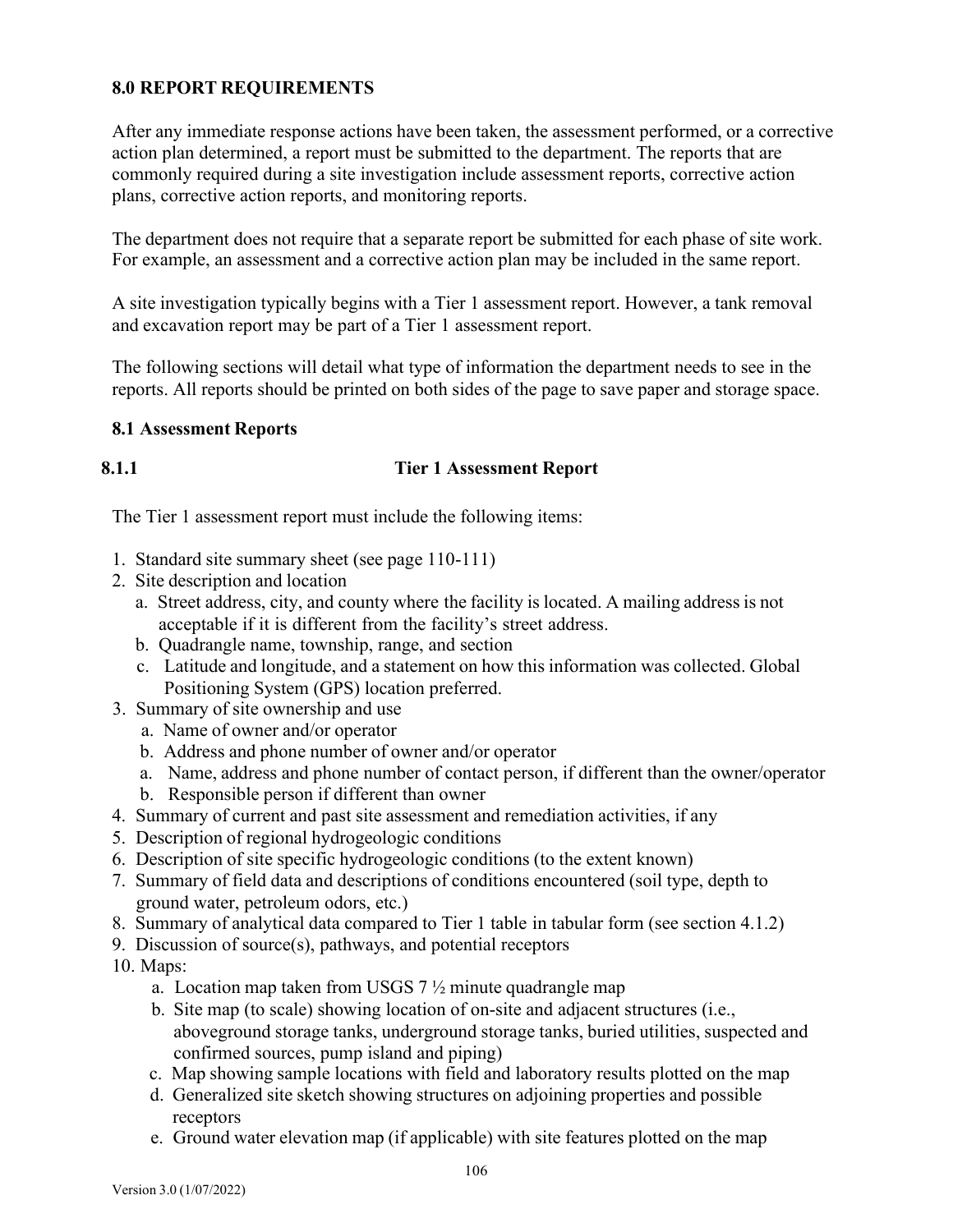## **8.0 REPORT REQUIREMENTS**

After any immediate response actions have been taken, the assessment performed, or a corrective action plan determined, a report must be submitted to the department. The reports that are commonly required during a site investigation include assessment reports, corrective action plans, corrective action reports, and monitoring reports.

The department does not require that a separate report be submitted for each phase of site work. For example, an assessment and a corrective action plan may be included in the same report.

A site investigation typically begins with a Tier 1 assessment report. However, a tank removal and excavation report may be part of a Tier 1 assessment report.

The following sections will detail what type of information the department needs to see in the reports. All reports should be printed on both sides of the page to save paper and storage space.

### **8.1 Assessment Reports**

## **8.1.1 Tier 1 Assessment Report**

The Tier 1 assessment report must include the following items:

- 1. Standard site summary sheet (see page 110-111)
- 2. Site description and location
	- a. Street address, city, and county where the facility is located. A mailing address is not acceptable if it is different from the facility's street address.
	- b. Quadrangle name, township, range, and section
	- c. Latitude and longitude, and a statement on how this information was collected. Global Positioning System (GPS) location preferred.
- 3. Summary of site ownership and use
	- a. Name of owner and/or operator
	- b. Address and phone number of owner and/or operator
	- a. Name, address and phone number of contact person, if different than the owner/operator
	- b. Responsible person if different than owner
- 4. Summary of current and past site assessment and remediation activities, if any
- 5. Description of regional hydrogeologic conditions
- 6. Description of site specific hydrogeologic conditions (to the extent known)
- 7. Summary of field data and descriptions of conditions encountered (soil type, depth to ground water, petroleum odors, etc.)
- 8. Summary of analytical data compared to Tier 1 table in tabular form (see section 4.1.2)
- 9. Discussion of source(s), pathways, and potential receptors
- 10. Maps:
	- a. Location map taken from USGS 7 ½ minute quadrangle map
	- b. Site map (to scale) showing location of on-site and adjacent structures (i.e., aboveground storage tanks, underground storage tanks, buried utilities, suspected and confirmed sources, pump island and piping)
	- c. Map showing sample locations with field and laboratory results plotted on the map
	- d. Generalized site sketch showing structures on adjoining properties and possible receptors
	- e. Ground water elevation map (if applicable) with site features plotted on the map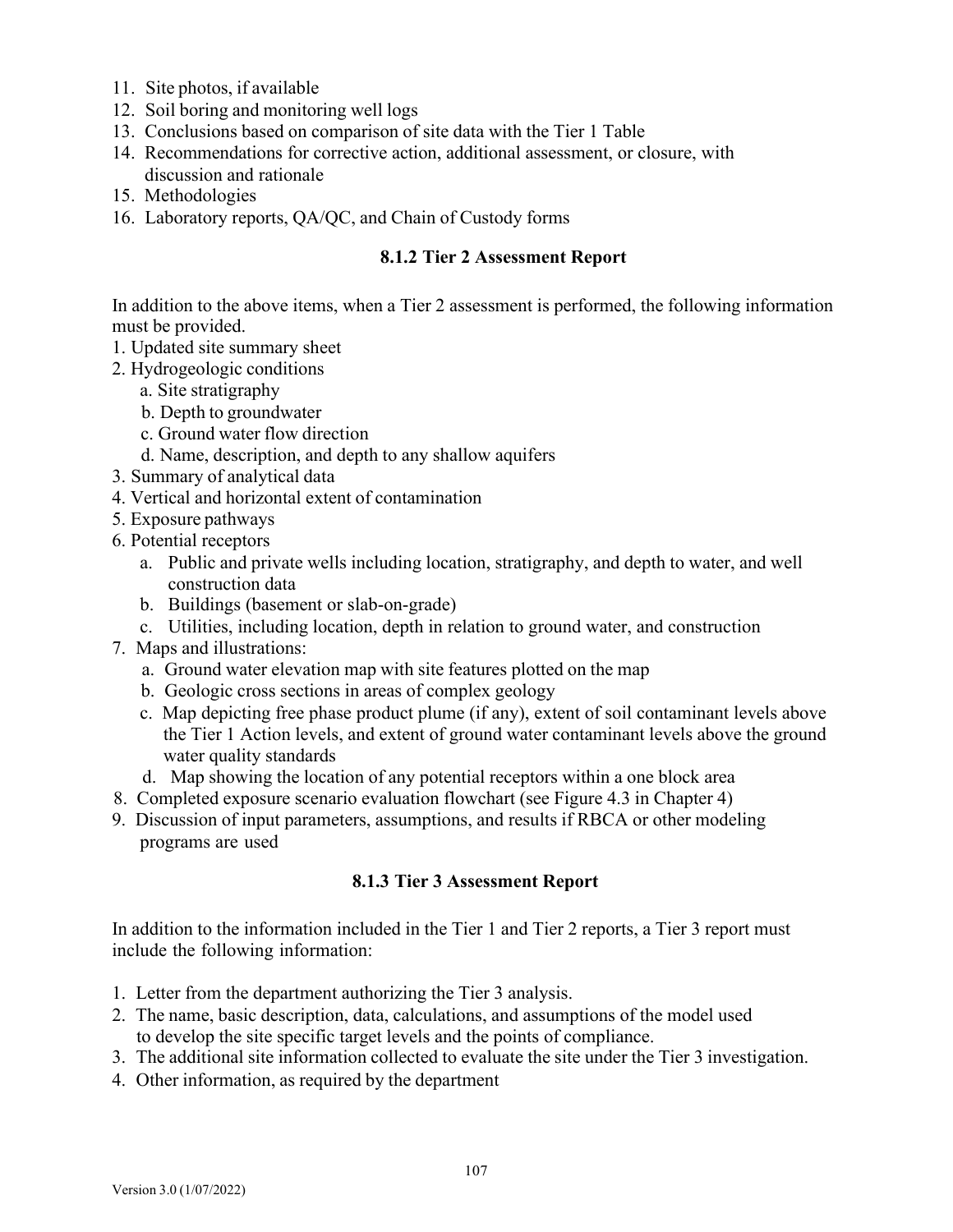- 11. Site photos, if available
- 12. Soil boring and monitoring well logs
- 13. Conclusions based on comparison of site data with the Tier 1 Table
- 14. Recommendations for corrective action, additional assessment, or closure, with discussion and rationale
- 15. Methodologies
- 16. Laboratory reports, QA/QC, and Chain of Custody forms

#### **8.1.2 Tier 2 Assessment Report**

In addition to the above items, when a Tier 2 assessment is performed, the following information must be provided.

- 1. Updated site summary sheet
- 2. Hydrogeologic conditions
	- a. Site stratigraphy
	- b. Depth to groundwater
	- c. Ground water flow direction
	- d. Name, description, and depth to any shallow aquifers
- 3. Summary of analytical data
- 4. Vertical and horizontal extent of contamination
- 5. Exposure pathways
- 6. Potential receptors
	- a. Public and private wells including location, stratigraphy, and depth to water, and well construction data
	- b. Buildings (basement or slab-on-grade)
	- c. Utilities, including location, depth in relation to ground water, and construction
- 7. Maps and illustrations:
	- a. Ground water elevation map with site features plotted on the map
	- b. Geologic cross sections in areas of complex geology
	- c. Map depicting free phase product plume (if any), extent of soil contaminant levels above the Tier 1 Action levels, and extent of ground water contaminant levels above the ground water quality standards
	- d. Map showing the location of any potential receptors within a one block area
- 8. Completed exposure scenario evaluation flowchart (see Figure 4.3 in Chapter 4)
- 9. Discussion of input parameters, assumptions, and results if RBCA or other modeling programs are used

### **8.1.3 Tier 3 Assessment Report**

In addition to the information included in the Tier 1 and Tier 2 reports, a Tier 3 report must include the following information:

- 1. Letter from the department authorizing the Tier 3 analysis.
- 2. The name, basic description, data, calculations, and assumptions of the model used to develop the site specific target levels and the points of compliance.
- 3. The additional site information collected to evaluate the site under the Tier 3 investigation.
- 4. Other information, as required by the department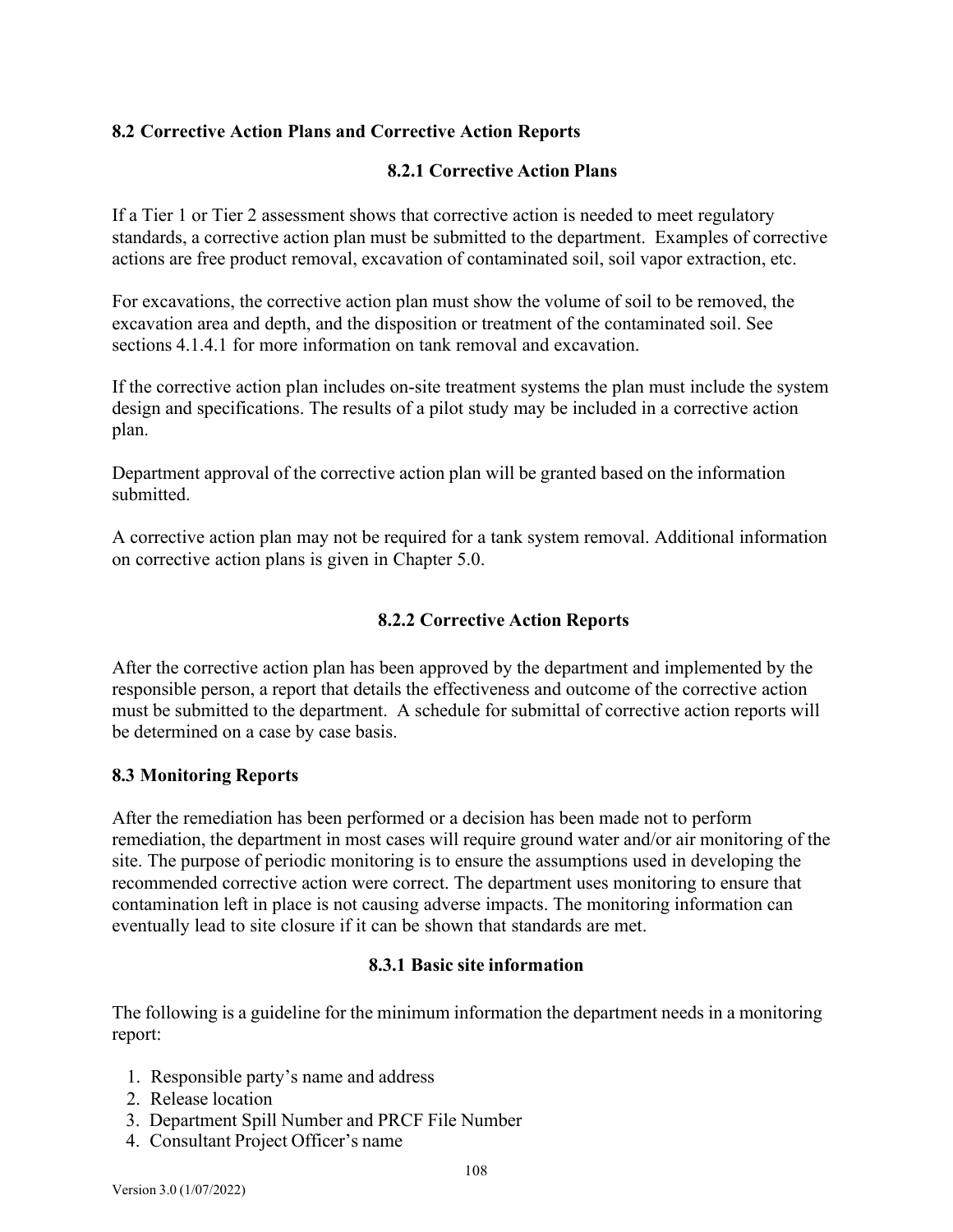## **8.2 Corrective Action Plans and Corrective Action Reports**

## **8.2.1 Corrective Action Plans**

If a Tier 1 or Tier 2 assessment shows that corrective action is needed to meet regulatory standards, a corrective action plan must be submitted to the department. Examples of corrective actions are free product removal, excavation of contaminated soil, soil vapor extraction, etc.

For excavations, the corrective action plan must show the volume of soil to be removed, the excavation area and depth, and the disposition or treatment of the contaminated soil. See sections 4.1.4.1 for more information on tank removal and excavation.

If the corrective action plan includes on-site treatment systems the plan must include the system design and specifications. The results of a pilot study may be included in a corrective action plan.

Department approval of the corrective action plan will be granted based on the information submitted.

A corrective action plan may not be required for a tank system removal. Additional information on corrective action plans is given in Chapter 5.0.

## **8.2.2 Corrective Action Reports**

After the corrective action plan has been approved by the department and implemented by the responsible person, a report that details the effectiveness and outcome of the corrective action must be submitted to the department. A schedule for submittal of corrective action reports will be determined on a case by case basis.

### **8.3 Monitoring Reports**

After the remediation has been performed or a decision has been made not to perform remediation, the department in most cases will require ground water and/or air monitoring of the site. The purpose of periodic monitoring is to ensure the assumptions used in developing the recommended corrective action were correct. The department uses monitoring to ensure that contamination left in place is not causing adverse impacts. The monitoring information can eventually lead to site closure if it can be shown that standards are met.

### **8.3.1 Basic site information**

The following is a guideline for the minimum information the department needs in a monitoring report:

- 1. Responsible party's name and address
- 2. Release location
- 3. Department Spill Number and PRCF File Number
- 4. Consultant Project Officer's name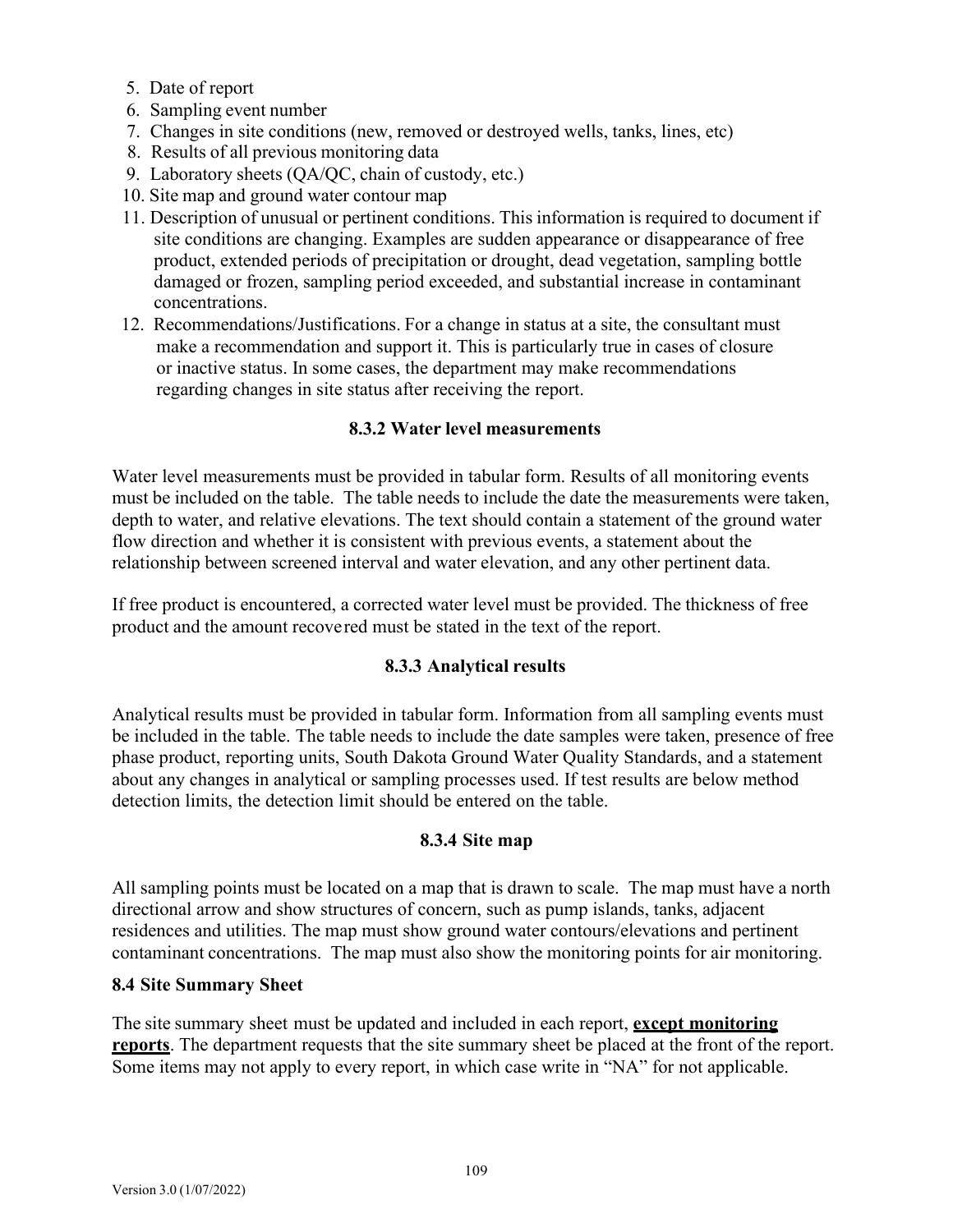- 5. Date of report
- 6. Sampling event number
- 7. Changes in site conditions (new, removed or destroyed wells, tanks, lines, etc)
- 8. Results of all previous monitoring data
- 9. Laboratory sheets (QA/QC, chain of custody, etc.)
- 10. Site map and ground water contour map
- 11. Description of unusual or pertinent conditions. This information is required to document if site conditions are changing. Examples are sudden appearance or disappearance of free product, extended periods of precipitation or drought, dead vegetation, sampling bottle damaged or frozen, sampling period exceeded, and substantial increase in contaminant concentrations.
- 12. Recommendations/Justifications. For a change in status at a site, the consultant must make a recommendation and support it. This is particularly true in cases of closure or inactive status. In some cases, the department may make recommendations regarding changes in site status after receiving the report.

## **8.3.2 Water level measurements**

Water level measurements must be provided in tabular form. Results of all monitoring events must be included on the table. The table needs to include the date the measurements were taken, depth to water, and relative elevations. The text should contain a statement of the ground water flow direction and whether it is consistent with previous events, a statement about the relationship between screened interval and water elevation, and any other pertinent data.

If free product is encountered, a corrected water level must be provided. The thickness of free product and the amount recovered must be stated in the text of the report.

### **8.3.3 Analytical results**

Analytical results must be provided in tabular form. Information from all sampling events must be included in the table. The table needs to include the date samples were taken, presence of free phase product, reporting units, South Dakota Ground Water Quality Standards, and a statement about any changes in analytical or sampling processes used. If test results are below method detection limits, the detection limit should be entered on the table.

### **8.3.4 Site map**

All sampling points must be located on a map that is drawn to scale. The map must have a north directional arrow and show structures of concern, such as pump islands, tanks, adjacent residences and utilities. The map must show ground water contours/elevations and pertinent contaminant concentrations. The map must also show the monitoring points for air monitoring.

### **8.4 Site Summary Sheet**

The site summary sheet must be updated and included in each report, **except monitoring reports**. The department requests that the site summary sheet be placed at the front of the report. Some items may not apply to every report, in which case write in "NA" for not applicable.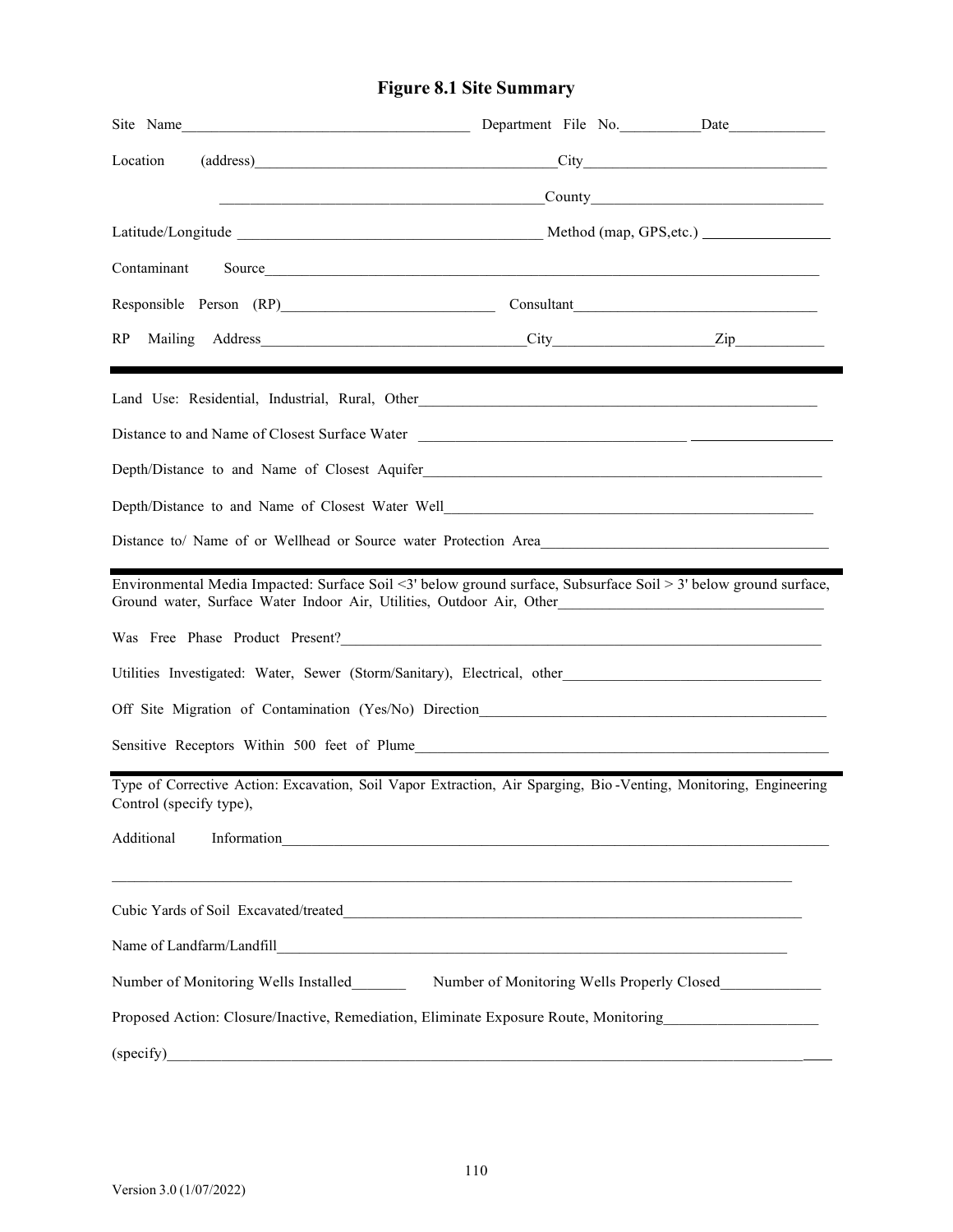# **Figure 8.1 Site Summary**

| Site Name Department File No. Date Date                                                                                                                                                                                 |                                                                                                                      |                  |  |  |
|-------------------------------------------------------------------------------------------------------------------------------------------------------------------------------------------------------------------------|----------------------------------------------------------------------------------------------------------------------|------------------|--|--|
| Location                                                                                                                                                                                                                |                                                                                                                      |                  |  |  |
|                                                                                                                                                                                                                         | <u> 1989 - Johann John Stone, markin film yn y brenin y brenin y brenin y brenin y brenin y brenin y brenin y br</u> | $\text{Country}$ |  |  |
|                                                                                                                                                                                                                         |                                                                                                                      |                  |  |  |
| Contaminant                                                                                                                                                                                                             | Source                                                                                                               |                  |  |  |
|                                                                                                                                                                                                                         |                                                                                                                      |                  |  |  |
| RP                                                                                                                                                                                                                      |                                                                                                                      |                  |  |  |
|                                                                                                                                                                                                                         |                                                                                                                      |                  |  |  |
|                                                                                                                                                                                                                         |                                                                                                                      |                  |  |  |
|                                                                                                                                                                                                                         |                                                                                                                      |                  |  |  |
|                                                                                                                                                                                                                         |                                                                                                                      |                  |  |  |
| Distance to/ Name of or Wellhead or Source water Protection Area                                                                                                                                                        |                                                                                                                      |                  |  |  |
| Environmental Media Impacted: Surface Soil <3' below ground surface, Subsurface Soil > 3' below ground surface,<br>Ground water, Surface Water Indoor Air, Utilities, Outdoor Air, Other_______________________________ |                                                                                                                      |                  |  |  |
|                                                                                                                                                                                                                         |                                                                                                                      |                  |  |  |
| Utilities Investigated: Water, Sewer (Storm/Sanitary), Electrical, other                                                                                                                                                |                                                                                                                      |                  |  |  |
|                                                                                                                                                                                                                         |                                                                                                                      |                  |  |  |
|                                                                                                                                                                                                                         |                                                                                                                      |                  |  |  |
| Type of Corrective Action: Excavation, Soil Vapor Extraction, Air Sparging, Bio-Venting, Monitoring, Engineering<br>Control (specify type),                                                                             |                                                                                                                      |                  |  |  |
| Additional                                                                                                                                                                                                              |                                                                                                                      |                  |  |  |
|                                                                                                                                                                                                                         |                                                                                                                      |                  |  |  |
|                                                                                                                                                                                                                         |                                                                                                                      |                  |  |  |
|                                                                                                                                                                                                                         |                                                                                                                      |                  |  |  |
| Number of Monitoring Wells Installed Mumber of Monitoring Wells Properly Closed                                                                                                                                         |                                                                                                                      |                  |  |  |
| Proposed Action: Closure/Inactive, Remediation, Eliminate Exposure Route, Monitoring                                                                                                                                    |                                                                                                                      |                  |  |  |
| (specify)                                                                                                                                                                                                               |                                                                                                                      |                  |  |  |